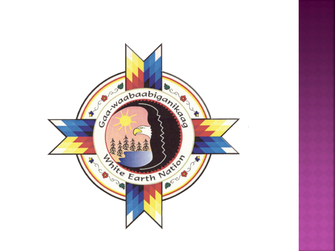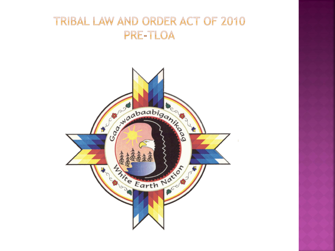#### TRIBAL LAW AND ORDER ACT OF 2010 PRE-TLOA

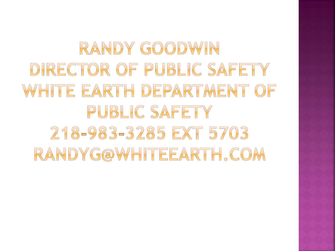# RANDY GOODWIN DIRECTOR OF PUBLIC SAFETY WHITE EARTH DEPARTMENT OF PUBLIC SAFETY 218-983-3285 EXT 5703 RANDYG@WHITEEARTH, COM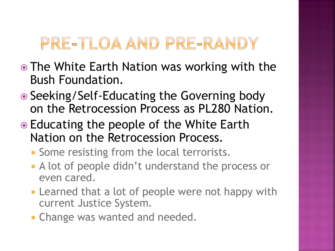# PRE-TLOA AND PRE-RANDY

- The White Earth Nation was working with the Bush Foundation.
- Seeking/Self-Educating the Governing body on the Retrocession Process as PL280 Nation.
- Educating the people of the White Earth Nation on the Retrocession Process.
	- **Some resisting from the local terrorists.**
	- A lot of people didn't understand the process or even cared.
	- **Example that a lot of people were not happy with** current Justice System.
	- **Change was wanted and needed.**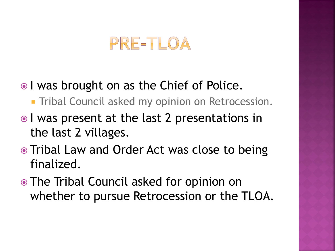### PRE-TLOA

- I was brought on as the Chief of Police.
	- **Tribal Council asked my opinion on Retrocession.**
- I was present at the last 2 presentations in the last 2 villages.
- Tribal Law and Order Act was close to being finalized.
- The Tribal Council asked for opinion on whether to pursue Retrocession or the TLOA.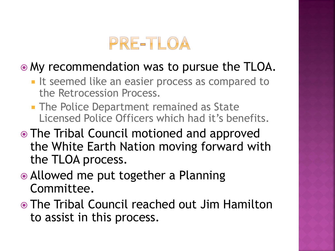

#### My recommendation was to pursue the TLOA.

- **If seemed like an easier process as compared to** the Retrocession Process.
- **The Police Department remained as State** Licensed Police Officers which had it's benefits.
- The Tribal Council motioned and approved the White Earth Nation moving forward with the TLOA process.
- Allowed me put together a Planning Committee.
- The Tribal Council reached out Jim Hamilton to assist in this process.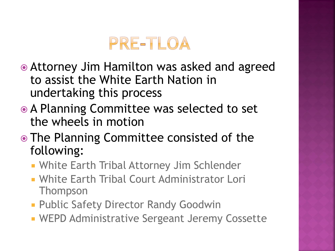

- Attorney Jim Hamilton was asked and agreed to assist the White Earth Nation in undertaking this process
- A Planning Committee was selected to set the wheels in motion
- The Planning Committee consisted of the following:
	- White Earth Tribal Attorney Jim Schlender
	- White Earth Tribal Court Administrator Lori Thompson
	- **Public Safety Director Randy Goodwin**
	- WEPD Administrative Sergeant Jeremy Cossette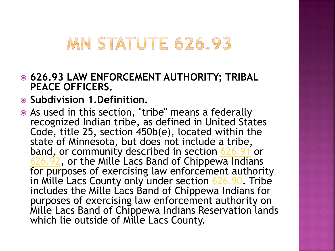## **MN STATUTE 626.93**

- **626.93 LAW ENFORCEMENT AUTHORITY; TRIBAL PEACE OFFICERS.**
- **Subdivision 1.Definition.**
- As used in this section, "tribe" means a federally recognized Indian tribe, as defined in United States Code, title 25, section 450b(e), located within the state of Minnesota, but does not include a tribe, band, or community described in section [626.91](https://www.revisor.mn.gov/statutes?id=626.91stat.626.91) or [626.92](https://www.revisor.mn.gov/statutes?id=626.92stat.626.92), or the Mille Lacs Band of Chippewa Indians for purposes of exercising law enforcement authority in Mille Lacs County only under section [626.90](https://www.revisor.mn.gov/statutes?id=626.90stat.626.90). Tribe includes the Mille Lacs Band of Chippewa Indians for purposes of exercising law enforcement authority on Mille Lacs Band of Chippewa Indians Reservation lands which lie outside of Mille Lacs County.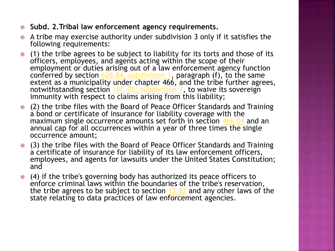- **Subd. 2.Tribal law enforcement agency requirements.**
- A tribe may exercise authority under subdivision 3 only if it satisfies the following requirements:
- (1) the tribe agrees to be subject to liability for its torts and those of its officers, employees, and agents acting within the scope of their employment or duties arising out of a law enforcement agency function conferred by section  $626.84$ , subdivision 1, paragraph (f), to the same extent as a municipality under chapter 466, and the tribe further agrees, notwithstanding section [16C.05, subdivision 7](https://www.revisor.mn.gov/statutes?id=16C.05stat.16C.05.7), to waive its sovereign immunity with respect to claims arising from this liability;
- (2) the tribe files with the Board of Peace Officer Standards and Training a bond or certificate of insurance for liability coverage with the maximum single occurrence amounts set forth in section [466.04](https://www.revisor.mn.gov/statutes?id=466.04stat.466.04) and an annual cap for all occurrences within a year of three times the single occurrence amount;
- (3) the tribe files with the Board of Peace Officer Standards and Training a certificate of insurance for liability of its law enforcement officers, employees, and agents for lawsuits under the United States Constitution; and
- (4) if the tribe's governing body has authorized its peace officers to enforce criminal laws within the boundaries of the tribe's reservation, the tribe agrees to be subject to section  $13.82$  and any other laws of the state relating to data practices of law enforcement agencies.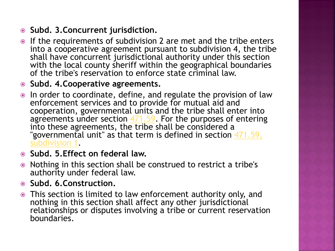- **Subd. 3.Concurrent jurisdiction.**
- If the requirements of subdivision 2 are met and the tribe enters into a cooperative agreement pursuant to subdivision 4, the tribe shall have concurrent jurisdictional authority under this section with the local county sheriff within the geographical boundaries of the tribe's reservation to enforce state criminal law.
- **Subd. 4.Cooperative agreements.**
- In order to coordinate, define, and regulate the provision of law enforcement services and to provide for mutual aid and cooperation, governmental units and the tribe shall enter into agreements under section  $471.59$ . For the purposes of entering into these agreements, the tribe shall be considered a "governmental unit" as that term is defined in section 471.59, [subdivision 1.](https://www.revisor.mn.gov/statutes?id=471.59stat.471.59.1)
- **Subd. 5.Effect on federal law.**
- Nothing in this section shall be construed to restrict a tribe's authority under federal law.
- **Subd. 6.Construction.**
- This section is limited to law enforcement authority only, and nothing in this section shall affect any other jurisdictional relationships or disputes involving a tribe or current reservation boundaries.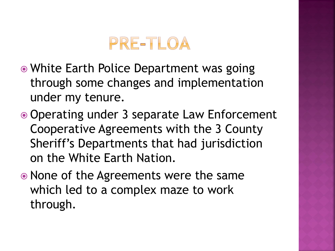

- White Earth Police Department was going through some changes and implementation under my tenure.
- Operating under 3 separate Law Enforcement Cooperative Agreements with the 3 County Sheriff's Departments that had jurisdiction on the White Earth Nation.
- None of the Agreements were the same which led to a complex maze to work through.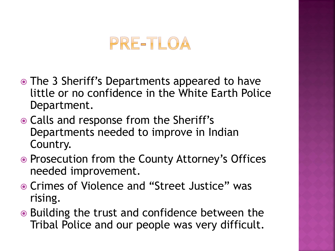### PRE-TLOA

- The 3 Sheriff's Departments appeared to have little or no confidence in the White Earth Police Department.
- Calls and response from the Sheriff's Departments needed to improve in Indian Country.
- Prosecution from the County Attorney's Offices needed improvement.
- Crimes of Violence and "Street Justice" was rising.
- **■** Building the trust and confidence between the Tribal Police and our people was very difficult.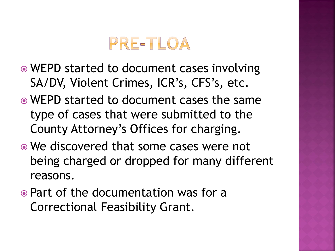## PRE-TLOA

- WEPD started to document cases involving SA/DV, Violent Crimes, ICR's, CFS's, etc.
- WEPD started to document cases the same type of cases that were submitted to the County Attorney's Offices for charging.
- We discovered that some cases were not being charged or dropped for many different reasons.
- Part of the documentation was for a Correctional Feasibility Grant.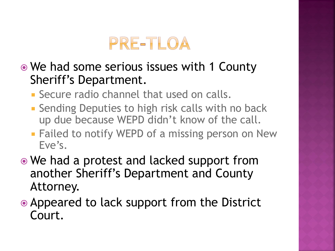

- We had some serious issues with 1 County Sheriff's Department.
	- **Secure radio channel that used on calls.**
	- **Sending Deputies to high risk calls with no back** up due because WEPD didn't know of the call.
	- **Failed to notify WEPD of a missing person on New** Eve's.
- We had a protest and lacked support from another Sheriff's Department and County Attorney.
- Appeared to lack support from the District Court.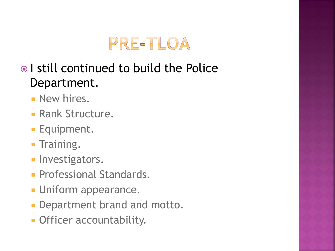

#### I still continued to build the Police Department.

- **New hires.**
- **Rank Structure.**
- **Equipment.**
- **Training.**
- **Investigators.**
- **Professional Standards.**
- **Uniform appearance.**
- **Department brand and motto.**
- **Officer accountability.**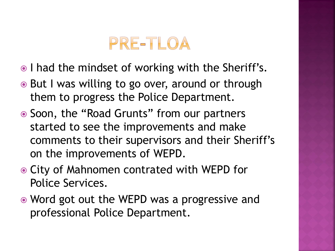## PRE-TLOA

- I had the mindset of working with the Sheriff's.
- **■** But I was willing to go over, around or through them to progress the Police Department.
- Soon, the "Road Grunts" from our partners started to see the improvements and make comments to their supervisors and their Sheriff's on the improvements of WEPD.
- City of Mahnomen contrated with WEPD for Police Services.
- Word got out the WEPD was a progressive and professional Police Department.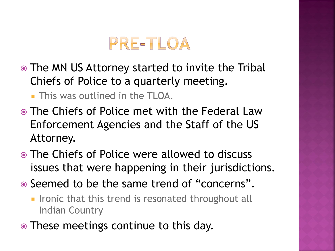

- The MN US Attorney started to invite the Tribal Chiefs of Police to a quarterly meeting.
	- **This was outlined in the TLOA.**
- The Chiefs of Police met with the Federal Law Enforcement Agencies and the Staff of the US Attorney.
- The Chiefs of Police were allowed to discuss issues that were happening in their jurisdictions.
- Seemed to be the same trend of "concerns".
	- **IF Ironic that this trend is resonated throughout all** Indian Country
- These meetings continue to this day.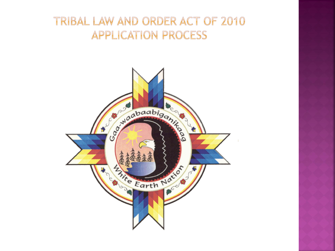#### TRIBAL LAW AND ORDER ACT OF 2010 **APPLICATION PROCESS**

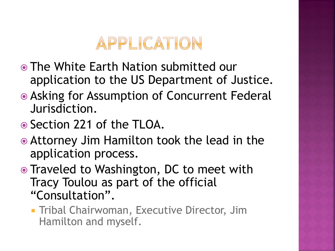

- The White Earth Nation submitted our application to the US Department of Justice.
- Asking for Assumption of Concurrent Federal Jurisdiction.
- Section 221 of the TLOA.
- Attorney Jim Hamilton took the lead in the application process.
- Traveled to Washington, DC to meet with Tracy Toulou as part of the official "Consultation".
	- **Tribal Chairwoman, Executive Director, Jim** Hamilton and myself.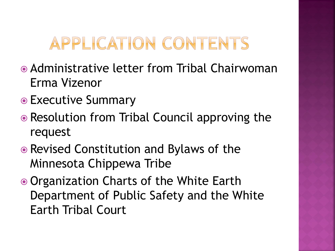# APPLICATION CONTENTS

- Administrative letter from Tribal Chairwoman Erma Vizenor
- Executive Summary
- Resolution from Tribal Council approving the request
- Revised Constitution and Bylaws of the Minnesota Chippewa Tribe
- Organization Charts of the White Earth Department of Public Safety and the White Earth Tribal Court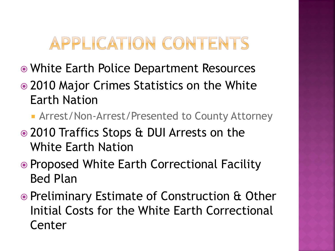# APPLICATION CONTENTS

- White Earth Police Department Resources
- 2010 Major Crimes Statistics on the White Earth Nation
	- Arrest/Non-Arrest/Presented to County Attorney
- 2010 Traffics Stops & DUI Arrests on the White Earth Nation
- Proposed White Earth Correctional Facility Bed Plan
- Preliminary Estimate of Construction & Other Initial Costs for the White Earth Correctional Center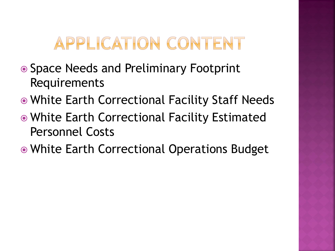# APPLICATION CONTENT

- Space Needs and Preliminary Footprint Requirements
- White Earth Correctional Facility Staff Needs
- White Earth Correctional Facility Estimated Personnel Costs
- White Earth Correctional Operations Budget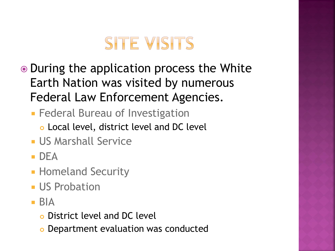# **SITE VISITS**

- During the application process the White Earth Nation was visited by numerous Federal Law Enforcement Agencies.
	- **Federal Bureau of Investigation** 
		- Local level, district level and DC level
	- **US Marshall Service**
	- $\blacksquare$  DFA
	- **Homeland Security**
	- **US Probation**
	- $\blacksquare$  BIA
		- District level and DC level
		- Department evaluation was conducted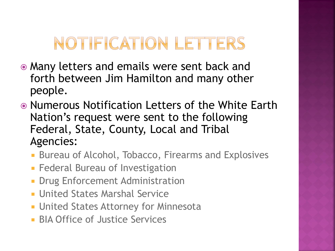# NOTIFICATION LETTERS

- Many letters and emails were sent back and forth between Jim Hamilton and many other people.
- Numerous Notification Letters of the White Earth Nation's request were sent to the following Federal, State, County, Local and Tribal Agencies:
	- **Bureau of Alcohol, Tobacco, Firearms and Explosives**
	- **Federal Bureau of Investigation**
	- **Drug Enforcement Administration**
	- **United States Marshal Service**
	- **United States Attorney for Minnesota**
	- **BIA Office of Justice Services**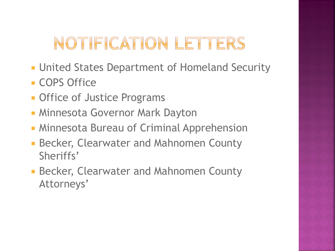# NOTIFICATION LETTERS

- **United States Department of Homeland Security**
- **COPS Office**
- **Office of Justice Programs**
- **Minnesota Governor Mark Dayton**
- **Minnesota Bureau of Criminal Apprehension**
- Becker, Clearwater and Mahnomen County Sheriffs'
- **Becker, Clearwater and Mahnomen County** Attorneys'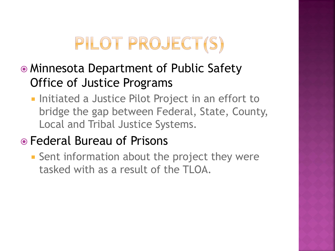# PILOT PROJECT(S)

- Minnesota Department of Public Safety Office of Justice Programs
	- **Initiated a Justice Pilot Project in an effort to** bridge the gap between Federal, State, County, Local and Tribal Justice Systems.

#### Federal Bureau of Prisons

**Sent information about the project they were** tasked with as a result of the TLOA.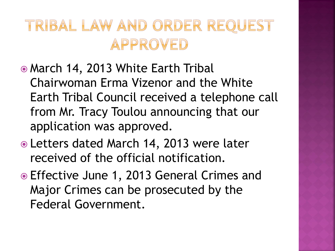## TRIBAL LAW AND ORDER REQUEST APPROVED

- March 14, 2013 White Earth Tribal Chairwoman Erma Vizenor and the White Earth Tribal Council received a telephone call from Mr. Tracy Toulou announcing that our application was approved.
- Letters dated March 14, 2013 were later received of the official notification.
- Effective June 1, 2013 General Crimes and Major Crimes can be prosecuted by the Federal Government.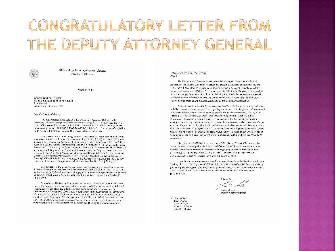## CONGRATULATORY LETTER FROM THE DEPUTY ATTORNEY GENERAL



Office of the Deputy Attorney (General Illanhington, O.C. 20530

#### March 14, 2013

Chairwoman Erma Vizcnor White Earth Reservation Tribal Council P.O. Box 418 White Earth, Minnesota 56591

#### Dear Chairwoman Vizenor:

This is in response to the request of the White Earth Nation of Oilbwe that the Department of Justice accept concurrent jurisdiction over crimes occurring within the White Earth Indian reservation pursuant to the Tribal Law and Order Act of 2010 and regulations implementing that Act, 18 U.S.C. § 1162(d) and 28 C.F.R. § 50.25. The request of the White Earth Nation is the first such request I have received for consideration.

The Tribal Law and Order Act granted the Department of Justice discretion to accept concurrent Federal jurisdiction to prosecute violations of 18 U.S.C. §§ 1152 and 1153 within areas of Indian country that are subject to State criminal jurisdiction under Public Law 280. A decision to assume Federal criminal jurisdiction over a particular Tribe's Indian country under Section 1162(d) is made by the Deputy Artomey General after written request by the Tribe. In accordance with Department of Justice regulations, we have carefully considered the information provided by the White Earth Nation, as well as by the Office of Trihal Justice, the Executive Office for United States Attorneys, the Federal Bureau of Investigation, the United States Attorney's Office for the District of Minnesota, the Federal district court, State and local law enforcement and prosecution partners, and other sources. See 28 U.S.C. § 50.25(d).

I am pleased to inform you that the Department consents to the request for concurrent Federal criminal jurisdiction over the Indian country of the White Earth Nation. To allow the parties involved sufficient time to establish appropriate guidelines and procedures to effectuate. concurrent Federal jurisdiction on the White Earth reservation, this decision will take effect June 1, 2013.

Given the specific facts and circumstances relevant to the request of the White Earth Nation, the information we have received supports the conclusion that assumption of Federal criminal jurisdiction offers the potential for improving public safety and eriminal law enforcement for the members of the Tribe. Under the specific circumstances that exist on the White Earth reservation, we anticipate that the Federal government will be able to rely on existing relationships to establish the necessary coordination with Tribal. State and local law enforcement officials that share concurrent jurisdiction on the reservation. In our experience, such cooperation is often essential to the success of public safety efforts in Indian country.

Letter to Chairwoman Erma Vizenor Page 2

The Department of Justice's consent to the Tribe's request means that the Federal government will assume concurrent jurisdiction to prosecute violations of Sections 1152 and 1153, and will also retain its existing jurisdiction to prosecute crimes of general applicability, such as organized drug trafficking. The Department's jurisdiction will be concurrent to, and will in no way change, the existing jurisdiction of Tribal, State, or Jocal law enforcement agencies. We intend to work cooperatively with the Tribe's law enforcement officials and other law enforcement partners having criminal jurisdiction on the White Earth reservation.

As in all cases in which the Department exercises Federal criminal jurisdiction, whether in Indian country or elsewhere, decisions regarding whether or not the Department of Justice will investigate or bring charges for a crime arising on the White Earth reservation, and any other Federal prosecutorial decisions, will be made solely by Department of Justice officials. Assumption of jurisdiction does not mean that the Department of Justice will prosecute all crimes, or even all major criminal cases occurring on the reservation. Rather, consistent with its exercise of prosecutorial discretion in all criminal matters, the Department will determine which cases can most effectively be prosecuted at the Federal level and will pursue those cases. In this regard, we do not anticipate that we will bring a large number of cases: rather, we will focus on bringing cases that will have the greatest impact in increasing public safety on the White Earth reservation.

J have directed the United States Attorney's Office for the District of Minnesota, the Federal Bureau of Investigation, the Executive Office for United States Attorneys, and other affected Departmental components to immediately begin preparations for investigating and prosecuting cases occurring within the White Barth reservation. We look forward to a continuing and productive cooperation with the White Earth Nation

If you have any questions concerning this request, please do not hesitate to contact Tracy Toulou, Director of the Department's Office of Tribal Justice, at (202) 514-5994. In addition, if you have questions regarding investigations or potential cases, you may contact Deidre Annstad, Tribal Liaison for the United States Attorney's Office for the District of Minnesota, at  $(612) 664-5710.$ 

Sincerely James M. Cole Deputy Attorney General

cc: Jim Hamilton Tracy Toulou B. Todd Jones H Marshall Jamett Ronald T. Hosko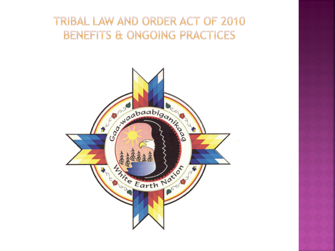#### TRIBAL LAW AND ORDER ACT OF 2010 **BENEFITS & ONGOING PRACTICES**

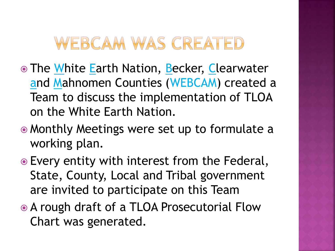## WEBCAM WAS CREATED

- **The White Earth Nation, Becker, Clearwater** and Mahnomen Counties (WEBCAM) created a Team to discuss the implementation of TLOA on the White Earth Nation.
- Monthly Meetings were set up to formulate a working plan.
- Every entity with interest from the Federal, State, County, Local and Tribal government are invited to participate on this Team
- A rough draft of a TLOA Prosecutorial Flow Chart was generated.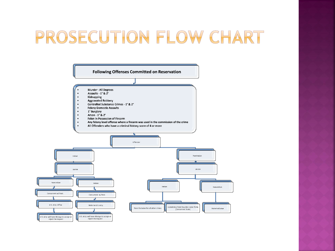## PROSECUTION FLOW CHART

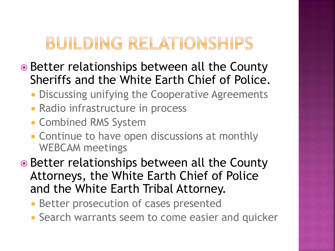# BUILDING RELATIONSHIPS

- **■** Better relationships between all the County Sheriffs and the White Earth Chief of Police.
	- **Discussing unifying the Cooperative Agreements**
	- **Radio infrastructure in process**
	- **Combined RMS System**
	- **EXCONTINUE TO have open discussions at monthly** WEBCAM meetings
- Better relationships between all the County Attorneys, the White Earth Chief of Police and the White Earth Tribal Attorney.
	- **Better prosecution of cases presented**
	- **Search warrants seem to come easier and quicker**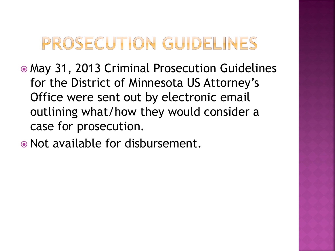# PROSECUTION GUIDELINES

- May 31, 2013 Criminal Prosecution Guidelines for the District of Minnesota US Attorney's Office were sent out by electronic email outlining what/how they would consider a case for prosecution.
- Not available for disbursement.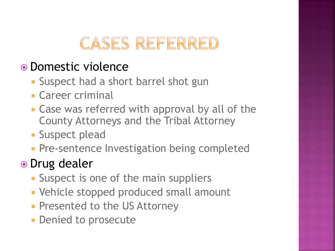## **CASES REFERRED**

#### Domestic violence

- **Suspect had a short barrel shot gun**
- **Career criminal**
- Case was referred with approval by all of the County Attorneys and the Tribal Attorney
- **Suspect plead**
- **Pre-sentence Investigation being completed**

#### • Drug dealer

- **Suspect is one of the main suppliers**
- **Vehicle stopped produced small amount**
- **Presented to the US Attorney**
- **Denied to prosecute**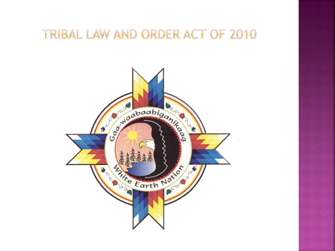#### TRIBAL LAW AND ORDER ACT OF 2010